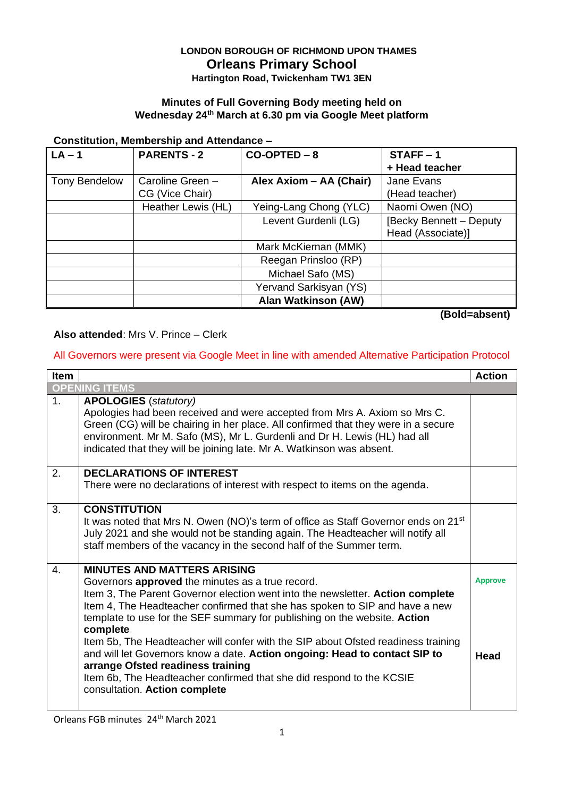## **LONDON BOROUGH OF RICHMOND UPON THAMES Orleans Primary School**

**Hartington Road, Twickenham TW1 3EN**

#### **Minutes of Full Governing Body meeting held on Wednesday 24th March at 6.30 pm via Google Meet platform**

#### **Constitution, Membership and Attendance –**

| $LA - 1$             | <b>PARENTS - 2</b> | $CO-OPTED-8$               | $STATE - 1$             |
|----------------------|--------------------|----------------------------|-------------------------|
|                      |                    |                            | + Head teacher          |
| <b>Tony Bendelow</b> | Caroline Green -   | Alex Axiom - AA (Chair)    | Jane Evans              |
|                      | CG (Vice Chair)    |                            | (Head teacher)          |
|                      | Heather Lewis (HL) | Yeing-Lang Chong (YLC)     | Naomi Owen (NO)         |
|                      |                    | Levent Gurdenli (LG)       | [Becky Bennett - Deputy |
|                      |                    |                            | Head (Associate)]       |
|                      |                    | Mark McKiernan (MMK)       |                         |
|                      |                    | Reegan Prinsloo (RP)       |                         |
|                      |                    | Michael Safo (MS)          |                         |
|                      |                    | Yervand Sarkisyan (YS)     |                         |
|                      |                    | <b>Alan Watkinson (AW)</b> |                         |

**(Bold=absent)**

#### **Also attended**: Mrs V. Prince – Clerk

#### All Governors were present via Google Meet in line with amended Alternative Participation Protocol

| <b>Item</b>    |                                                                                                                                                                                                                                                                                                                                                                                                                                                                                                                                                                                                                                                                   | <b>Action</b>          |
|----------------|-------------------------------------------------------------------------------------------------------------------------------------------------------------------------------------------------------------------------------------------------------------------------------------------------------------------------------------------------------------------------------------------------------------------------------------------------------------------------------------------------------------------------------------------------------------------------------------------------------------------------------------------------------------------|------------------------|
|                | <b>OPENING ITEMS</b>                                                                                                                                                                                                                                                                                                                                                                                                                                                                                                                                                                                                                                              |                        |
| 1 <sub>1</sub> | <b>APOLOGIES</b> (statutory)<br>Apologies had been received and were accepted from Mrs A. Axiom so Mrs C.<br>Green (CG) will be chairing in her place. All confirmed that they were in a secure<br>environment. Mr M. Safo (MS), Mr L. Gurdenli and Dr H. Lewis (HL) had all<br>indicated that they will be joining late. Mr A. Watkinson was absent.                                                                                                                                                                                                                                                                                                             |                        |
| 2.             | <b>DECLARATIONS OF INTEREST</b><br>There were no declarations of interest with respect to items on the agenda.                                                                                                                                                                                                                                                                                                                                                                                                                                                                                                                                                    |                        |
| 3.             | <b>CONSTITUTION</b><br>It was noted that Mrs N. Owen (NO)'s term of office as Staff Governor ends on 21 <sup>st</sup><br>July 2021 and she would not be standing again. The Headteacher will notify all<br>staff members of the vacancy in the second half of the Summer term.                                                                                                                                                                                                                                                                                                                                                                                    |                        |
| $\mathbf{4}$ . | <b>MINUTES AND MATTERS ARISING</b><br>Governors approved the minutes as a true record.<br>Item 3, The Parent Governor election went into the newsletter. Action complete<br>Item 4, The Headteacher confirmed that she has spoken to SIP and have a new<br>template to use for the SEF summary for publishing on the website. Action<br>complete<br>Item 5b, The Headteacher will confer with the SIP about Ofsted readiness training<br>and will let Governors know a date. Action ongoing: Head to contact SIP to<br>arrange Ofsted readiness training<br>Item 6b, The Headteacher confirmed that she did respond to the KCSIE<br>consultation. Action complete | <b>Approve</b><br>Head |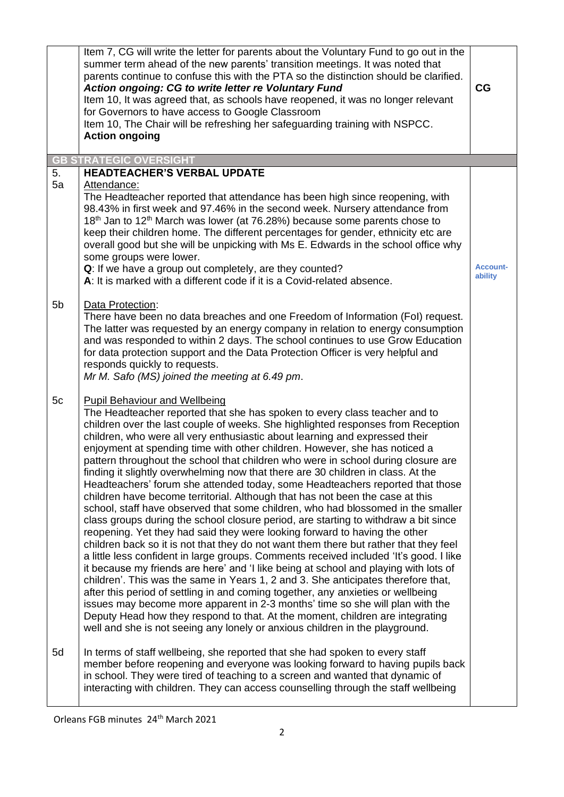|                | Item 7, CG will write the letter for parents about the Voluntary Fund to go out in the<br>summer term ahead of the new parents' transition meetings. It was noted that<br>parents continue to confuse this with the PTA so the distinction should be clarified.<br>Action ongoing: CG to write letter re Voluntary Fund<br>Item 10, It was agreed that, as schools have reopened, it was no longer relevant<br>for Governors to have access to Google Classroom<br>Item 10, The Chair will be refreshing her safeguarding training with NSPCC.<br><b>Action ongoing</b>                                                                                                                                                                                                                                                                                                                                                                                                                                                                                                                                                                                                                                                                                                                                                                                                                                                                                                                                                                                                                                                                                                       | CG                         |
|----------------|-------------------------------------------------------------------------------------------------------------------------------------------------------------------------------------------------------------------------------------------------------------------------------------------------------------------------------------------------------------------------------------------------------------------------------------------------------------------------------------------------------------------------------------------------------------------------------------------------------------------------------------------------------------------------------------------------------------------------------------------------------------------------------------------------------------------------------------------------------------------------------------------------------------------------------------------------------------------------------------------------------------------------------------------------------------------------------------------------------------------------------------------------------------------------------------------------------------------------------------------------------------------------------------------------------------------------------------------------------------------------------------------------------------------------------------------------------------------------------------------------------------------------------------------------------------------------------------------------------------------------------------------------------------------------------|----------------------------|
|                | <b>GB STRATEGIC OVERSIGHT</b>                                                                                                                                                                                                                                                                                                                                                                                                                                                                                                                                                                                                                                                                                                                                                                                                                                                                                                                                                                                                                                                                                                                                                                                                                                                                                                                                                                                                                                                                                                                                                                                                                                                 |                            |
| 5.<br>5a       | <b>HEADTEACHER'S VERBAL UPDATE</b><br>Attendance:<br>The Headteacher reported that attendance has been high since reopening, with<br>98.43% in first week and 97.46% in the second week. Nursery attendance from<br>18 <sup>th</sup> Jan to 12 <sup>th</sup> March was lower (at 76.28%) because some parents chose to<br>keep their children home. The different percentages for gender, ethnicity etc are<br>overall good but she will be unpicking with Ms E. Edwards in the school office why<br>some groups were lower.<br>Q: If we have a group out completely, are they counted?<br>A: It is marked with a different code if it is a Covid-related absence.                                                                                                                                                                                                                                                                                                                                                                                                                                                                                                                                                                                                                                                                                                                                                                                                                                                                                                                                                                                                            | <b>Account-</b><br>ability |
| 5 <sub>b</sub> | Data Protection:<br>There have been no data breaches and one Freedom of Information (FoI) request.<br>The latter was requested by an energy company in relation to energy consumption<br>and was responded to within 2 days. The school continues to use Grow Education<br>for data protection support and the Data Protection Officer is very helpful and<br>responds quickly to requests.<br>Mr M. Safo (MS) joined the meeting at 6.49 pm.                                                                                                                                                                                                                                                                                                                                                                                                                                                                                                                                                                                                                                                                                                                                                                                                                                                                                                                                                                                                                                                                                                                                                                                                                                 |                            |
| 5c             | <b>Pupil Behaviour and Wellbeing</b><br>The Headteacher reported that she has spoken to every class teacher and to<br>children over the last couple of weeks. She highlighted responses from Reception<br>children, who were all very enthusiastic about learning and expressed their<br>enjoyment at spending time with other children. However, she has noticed a<br>pattern throughout the school that children who were in school during closure are<br>finding it slightly overwhelming now that there are 30 children in class. At the<br>Headteachers' forum she attended today, some Headteachers reported that those<br>children have become territorial. Although that has not been the case at this<br>school, staff have observed that some children, who had blossomed in the smaller<br>class groups during the school closure period, are starting to withdraw a bit since<br>reopening. Yet they had said they were looking forward to having the other<br>children back so it is not that they do not want them there but rather that they feel<br>a little less confident in large groups. Comments received included 'It's good. I like<br>it because my friends are here' and 'I like being at school and playing with lots of<br>children'. This was the same in Years 1, 2 and 3. She anticipates therefore that,<br>after this period of settling in and coming together, any anxieties or wellbeing<br>issues may become more apparent in 2-3 months' time so she will plan with the<br>Deputy Head how they respond to that. At the moment, children are integrating<br>well and she is not seeing any lonely or anxious children in the playground. |                            |
| 5d             | In terms of staff wellbeing, she reported that she had spoken to every staff<br>member before reopening and everyone was looking forward to having pupils back<br>in school. They were tired of teaching to a screen and wanted that dynamic of<br>interacting with children. They can access counselling through the staff wellbeing                                                                                                                                                                                                                                                                                                                                                                                                                                                                                                                                                                                                                                                                                                                                                                                                                                                                                                                                                                                                                                                                                                                                                                                                                                                                                                                                         |                            |

Orleans FGB minutes 24th March 2021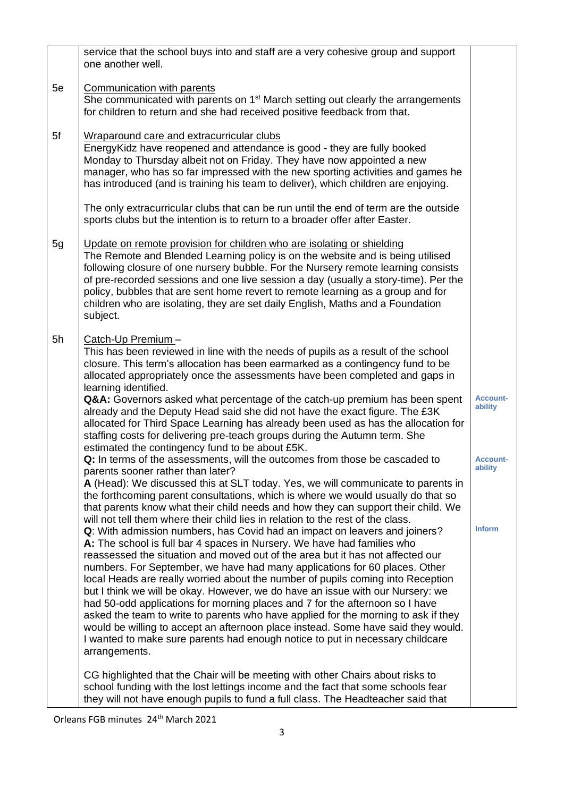|    | service that the school buys into and staff are a very cohesive group and support<br>one another well.                                                                                                                                                                                                                                                                                                                                                                                                                                                                                                                                                                                                                                                                                                                                                                                                                                     |                            |
|----|--------------------------------------------------------------------------------------------------------------------------------------------------------------------------------------------------------------------------------------------------------------------------------------------------------------------------------------------------------------------------------------------------------------------------------------------------------------------------------------------------------------------------------------------------------------------------------------------------------------------------------------------------------------------------------------------------------------------------------------------------------------------------------------------------------------------------------------------------------------------------------------------------------------------------------------------|----------------------------|
| 5e | Communication with parents<br>She communicated with parents on 1 <sup>st</sup> March setting out clearly the arrangements<br>for children to return and she had received positive feedback from that.                                                                                                                                                                                                                                                                                                                                                                                                                                                                                                                                                                                                                                                                                                                                      |                            |
| 5f | Wraparound care and extracurricular clubs<br>Energy Kidz have reopened and attendance is good - they are fully booked<br>Monday to Thursday albeit not on Friday. They have now appointed a new<br>manager, who has so far impressed with the new sporting activities and games he<br>has introduced (and is training his team to deliver), which children are enjoying.                                                                                                                                                                                                                                                                                                                                                                                                                                                                                                                                                                   |                            |
|    | The only extracurricular clubs that can be run until the end of term are the outside<br>sports clubs but the intention is to return to a broader offer after Easter.                                                                                                                                                                                                                                                                                                                                                                                                                                                                                                                                                                                                                                                                                                                                                                       |                            |
| 5g | Update on remote provision for children who are isolating or shielding<br>The Remote and Blended Learning policy is on the website and is being utilised<br>following closure of one nursery bubble. For the Nursery remote learning consists<br>of pre-recorded sessions and one live session a day (usually a story-time). Per the<br>policy, bubbles that are sent home revert to remote learning as a group and for<br>children who are isolating, they are set daily English, Maths and a Foundation<br>subject.                                                                                                                                                                                                                                                                                                                                                                                                                      |                            |
| 5h | Catch-Up Premium-<br>This has been reviewed in line with the needs of pupils as a result of the school<br>closure. This term's allocation has been earmarked as a contingency fund to be<br>allocated appropriately once the assessments have been completed and gaps in<br>learning identified.                                                                                                                                                                                                                                                                                                                                                                                                                                                                                                                                                                                                                                           |                            |
|    | Q&A: Governors asked what percentage of the catch-up premium has been spent<br>already and the Deputy Head said she did not have the exact figure. The £3K<br>allocated for Third Space Learning has already been used as has the allocation for<br>staffing costs for delivering pre-teach groups during the Autumn term. She<br>estimated the contingency fund to be about £5K.                                                                                                                                                                                                                                                                                                                                                                                                                                                                                                                                                          | Account-<br>ability        |
|    | Q: In terms of the assessments, will the outcomes from those be cascaded to<br>parents sooner rather than later?                                                                                                                                                                                                                                                                                                                                                                                                                                                                                                                                                                                                                                                                                                                                                                                                                           | <b>Account-</b><br>ability |
|    | A (Head): We discussed this at SLT today. Yes, we will communicate to parents in<br>the forthcoming parent consultations, which is where we would usually do that so<br>that parents know what their child needs and how they can support their child. We                                                                                                                                                                                                                                                                                                                                                                                                                                                                                                                                                                                                                                                                                  |                            |
|    | will not tell them where their child lies in relation to the rest of the class.<br>Q: With admission numbers, has Covid had an impact on leavers and joiners?<br>A: The school is full bar 4 spaces in Nursery. We have had families who<br>reassessed the situation and moved out of the area but it has not affected our<br>numbers. For September, we have had many applications for 60 places. Other<br>local Heads are really worried about the number of pupils coming into Reception<br>but I think we will be okay. However, we do have an issue with our Nursery: we<br>had 50-odd applications for morning places and 7 for the afternoon so I have<br>asked the team to write to parents who have applied for the morning to ask if they<br>would be willing to accept an afternoon place instead. Some have said they would.<br>I wanted to make sure parents had enough notice to put in necessary childcare<br>arrangements. | <b>Inform</b>              |
|    | CG highlighted that the Chair will be meeting with other Chairs about risks to<br>school funding with the lost lettings income and the fact that some schools fear<br>they will not have enough pupils to fund a full class. The Headteacher said that                                                                                                                                                                                                                                                                                                                                                                                                                                                                                                                                                                                                                                                                                     |                            |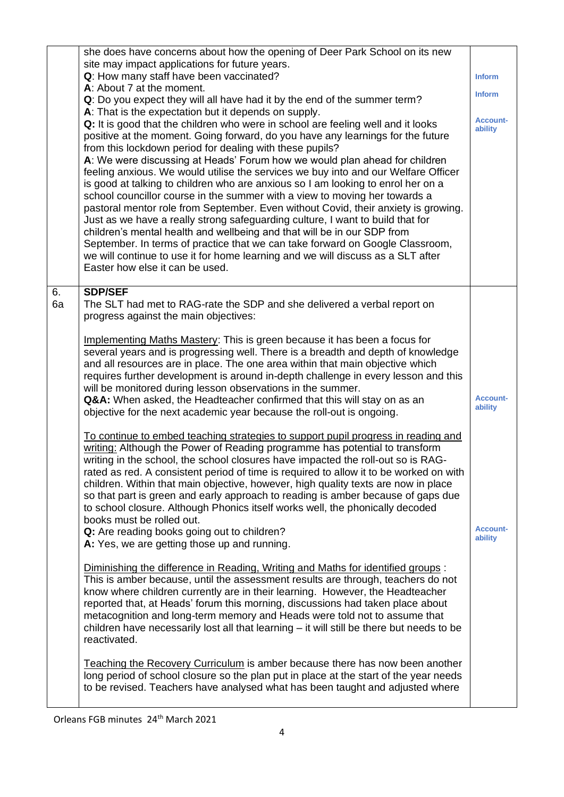|          | she does have concerns about how the opening of Deer Park School on its new<br>site may impact applications for future years.<br>Q: How many staff have been vaccinated?<br>A: About 7 at the moment.<br>Q: Do you expect they will all have had it by the end of the summer term?<br>A: That is the expectation but it depends on supply.<br>Q: It is good that the children who were in school are feeling well and it looks<br>positive at the moment. Going forward, do you have any learnings for the future<br>from this lockdown period for dealing with these pupils?<br>A: We were discussing at Heads' Forum how we would plan ahead for children<br>feeling anxious. We would utilise the services we buy into and our Welfare Officer<br>is good at talking to children who are anxious so I am looking to enrol her on a<br>school councillor course in the summer with a view to moving her towards a<br>pastoral mentor role from September. Even without Covid, their anxiety is growing.<br>Just as we have a really strong safeguarding culture, I want to build that for<br>children's mental health and wellbeing and that will be in our SDP from<br>September. In terms of practice that we can take forward on Google Classroom,<br>we will continue to use it for home learning and we will discuss as a SLT after<br>Easter how else it can be used.                                                                                                                                                                                                                                                                                                                                                                                                                                                                                                                                                                                                                                                                                                                                                                                                                                                         | <b>Inform</b><br><b>Inform</b><br><b>Account-</b><br>ability |
|----------|---------------------------------------------------------------------------------------------------------------------------------------------------------------------------------------------------------------------------------------------------------------------------------------------------------------------------------------------------------------------------------------------------------------------------------------------------------------------------------------------------------------------------------------------------------------------------------------------------------------------------------------------------------------------------------------------------------------------------------------------------------------------------------------------------------------------------------------------------------------------------------------------------------------------------------------------------------------------------------------------------------------------------------------------------------------------------------------------------------------------------------------------------------------------------------------------------------------------------------------------------------------------------------------------------------------------------------------------------------------------------------------------------------------------------------------------------------------------------------------------------------------------------------------------------------------------------------------------------------------------------------------------------------------------------------------------------------------------------------------------------------------------------------------------------------------------------------------------------------------------------------------------------------------------------------------------------------------------------------------------------------------------------------------------------------------------------------------------------------------------------------------------------------------------------------------------------------------------------------------|--------------------------------------------------------------|
| 6.<br>6a | <b>SDP/SEF</b><br>The SLT had met to RAG-rate the SDP and she delivered a verbal report on<br>progress against the main objectives:<br>Implementing Maths Mastery: This is green because it has been a focus for<br>several years and is progressing well. There is a breadth and depth of knowledge<br>and all resources are in place. The one area within that main objective which<br>requires further development is around in-depth challenge in every lesson and this<br>will be monitored during lesson observations in the summer.<br>Q&A: When asked, the Headteacher confirmed that this will stay on as an<br>objective for the next academic year because the roll-out is ongoing.<br>To continue to embed teaching strategies to support pupil progress in reading and<br>writing: Although the Power of Reading programme has potential to transform<br>writing in the school, the school closures have impacted the roll-out so is RAG-<br>rated as red. A consistent period of time is required to allow it to be worked on with<br>children. Within that main objective, however, high quality texts are now in place<br>so that part is green and early approach to reading is amber because of gaps due<br>to school closure. Although Phonics itself works well, the phonically decoded<br>books must be rolled out.<br>Q: Are reading books going out to children?<br>A: Yes, we are getting those up and running.<br>Diminishing the difference in Reading, Writing and Maths for identified groups:<br>This is amber because, until the assessment results are through, teachers do not<br>know where children currently are in their learning. However, the Headteacher<br>reported that, at Heads' forum this morning, discussions had taken place about<br>metacognition and long-term memory and Heads were told not to assume that<br>children have necessarily lost all that learning - it will still be there but needs to be<br>reactivated.<br>Teaching the Recovery Curriculum is amber because there has now been another<br>long period of school closure so the plan put in place at the start of the year needs<br>to be revised. Teachers have analysed what has been taught and adjusted where | <b>Account-</b><br>ability<br><b>Account-</b><br>ability     |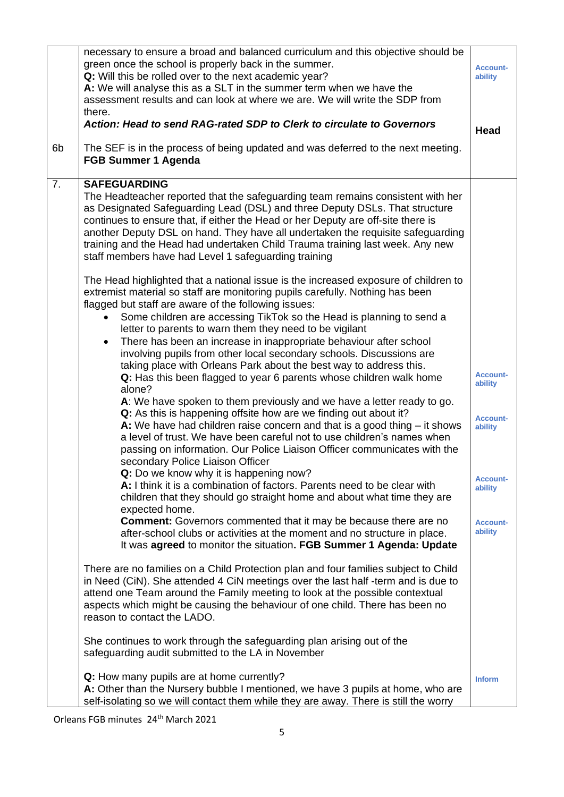|                | necessary to ensure a broad and balanced curriculum and this objective should be<br>green once the school is properly back in the summer.<br>Q: Will this be rolled over to the next academic year?<br>A: We will analyse this as a SLT in the summer term when we have the<br>assessment results and can look at where we are. We will write the SDP from<br>there.                                                                                                                                  | <b>Account-</b><br>ability |
|----------------|-------------------------------------------------------------------------------------------------------------------------------------------------------------------------------------------------------------------------------------------------------------------------------------------------------------------------------------------------------------------------------------------------------------------------------------------------------------------------------------------------------|----------------------------|
|                | Action: Head to send RAG-rated SDP to Clerk to circulate to Governors                                                                                                                                                                                                                                                                                                                                                                                                                                 | <b>Head</b>                |
| 6 <sub>b</sub> | The SEF is in the process of being updated and was deferred to the next meeting.<br><b>FGB Summer 1 Agenda</b>                                                                                                                                                                                                                                                                                                                                                                                        |                            |
| 7.             | <b>SAFEGUARDING</b><br>The Headteacher reported that the safeguarding team remains consistent with her<br>as Designated Safeguarding Lead (DSL) and three Deputy DSLs. That structure<br>continues to ensure that, if either the Head or her Deputy are off-site there is<br>another Deputy DSL on hand. They have all undertaken the requisite safeguarding<br>training and the Head had undertaken Child Trauma training last week. Any new<br>staff members have had Level 1 safeguarding training |                            |
|                | The Head highlighted that a national issue is the increased exposure of children to<br>extremist material so staff are monitoring pupils carefully. Nothing has been<br>flagged but staff are aware of the following issues:<br>Some children are accessing TikTok so the Head is planning to send a                                                                                                                                                                                                  |                            |
|                | letter to parents to warn them they need to be vigilant<br>There has been an increase in inappropriate behaviour after school<br>$\bullet$<br>involving pupils from other local secondary schools. Discussions are<br>taking place with Orleans Park about the best way to address this.                                                                                                                                                                                                              |                            |
|                | Q: Has this been flagged to year 6 parents whose children walk home<br>alone?                                                                                                                                                                                                                                                                                                                                                                                                                         | <b>Account-</b><br>ability |
|                | A: We have spoken to them previously and we have a letter ready to go.<br>Q: As this is happening offsite how are we finding out about it?<br>A: We have had children raise concern and that is a good thing $-$ it shows<br>a level of trust. We have been careful not to use children's names when<br>passing on information. Our Police Liaison Officer communicates with the<br>secondary Police Liaison Officer                                                                                  | <b>Account-</b><br>ability |
|                | <b>Q:</b> Do we know why it is happening now?<br>A: I think it is a combination of factors. Parents need to be clear with<br>children that they should go straight home and about what time they are<br>expected home.                                                                                                                                                                                                                                                                                | <b>Account-</b><br>ability |
|                | <b>Comment:</b> Governors commented that it may be because there are no<br>after-school clubs or activities at the moment and no structure in place.<br>It was agreed to monitor the situation. FGB Summer 1 Agenda: Update                                                                                                                                                                                                                                                                           | <b>Account-</b><br>ability |
|                | There are no families on a Child Protection plan and four families subject to Child<br>in Need (CiN). She attended 4 CiN meetings over the last half-term and is due to<br>attend one Team around the Family meeting to look at the possible contextual<br>aspects which might be causing the behaviour of one child. There has been no<br>reason to contact the LADO.                                                                                                                                |                            |
|                | She continues to work through the safeguarding plan arising out of the<br>safeguarding audit submitted to the LA in November                                                                                                                                                                                                                                                                                                                                                                          |                            |
|                | Q: How many pupils are at home currently?<br>A: Other than the Nursery bubble I mentioned, we have 3 pupils at home, who are<br>self-isolating so we will contact them while they are away. There is still the worry                                                                                                                                                                                                                                                                                  | <b>Inform</b>              |

Orleans FGB minutes 24th March 2021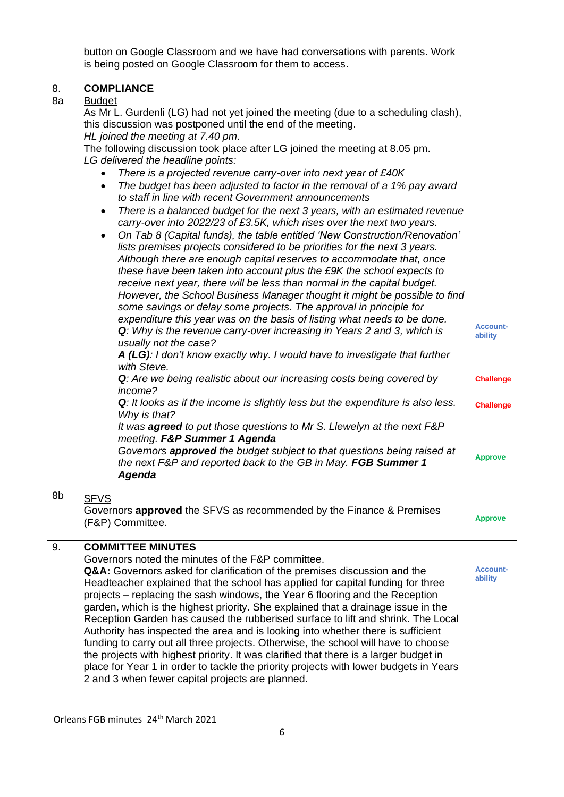|          | button on Google Classroom and we have had conversations with parents. Work                                                                                                                                                                                                                                                                                                                                                                                                                                                                                                                                                                                                                                                                                                                                                                                                                                                                                                                                                                                                                                                                                                                                                                                                                                                                                                                                                                                                                                                                                                                                                                                                                                                                                                                                                                                                                                                              |                                                                    |
|----------|------------------------------------------------------------------------------------------------------------------------------------------------------------------------------------------------------------------------------------------------------------------------------------------------------------------------------------------------------------------------------------------------------------------------------------------------------------------------------------------------------------------------------------------------------------------------------------------------------------------------------------------------------------------------------------------------------------------------------------------------------------------------------------------------------------------------------------------------------------------------------------------------------------------------------------------------------------------------------------------------------------------------------------------------------------------------------------------------------------------------------------------------------------------------------------------------------------------------------------------------------------------------------------------------------------------------------------------------------------------------------------------------------------------------------------------------------------------------------------------------------------------------------------------------------------------------------------------------------------------------------------------------------------------------------------------------------------------------------------------------------------------------------------------------------------------------------------------------------------------------------------------------------------------------------------------|--------------------------------------------------------------------|
|          |                                                                                                                                                                                                                                                                                                                                                                                                                                                                                                                                                                                                                                                                                                                                                                                                                                                                                                                                                                                                                                                                                                                                                                                                                                                                                                                                                                                                                                                                                                                                                                                                                                                                                                                                                                                                                                                                                                                                          |                                                                    |
| 8.<br>8a | is being posted on Google Classroom for them to access.<br><b>COMPLIANCE</b><br><b>Budget</b><br>As Mr L. Gurdenli (LG) had not yet joined the meeting (due to a scheduling clash),<br>this discussion was postponed until the end of the meeting.<br>HL joined the meeting at 7.40 pm.<br>The following discussion took place after LG joined the meeting at 8.05 pm.<br>LG delivered the headline points:<br>There is a projected revenue carry-over into next year of £40K<br>The budget has been adjusted to factor in the removal of a 1% pay award<br>$\bullet$<br>to staff in line with recent Government announcements<br>There is a balanced budget for the next 3 years, with an estimated revenue<br>$\bullet$<br>carry-over into 2022/23 of £3.5K, which rises over the next two years.<br>On Tab 8 (Capital funds), the table entitled 'New Construction/Renovation'<br>$\bullet$<br>lists premises projects considered to be priorities for the next 3 years.<br>Although there are enough capital reserves to accommodate that, once<br>these have been taken into account plus the £9K the school expects to<br>receive next year, there will be less than normal in the capital budget.<br>However, the School Business Manager thought it might be possible to find<br>some savings or delay some projects. The approval in principle for<br>expenditure this year was on the basis of listing what needs to be done.<br>Q: Why is the revenue carry-over increasing in Years 2 and 3, which is<br>usually not the case?<br>A (LG): I don't know exactly why. I would have to investigate that further<br>with Steve.<br>Q: Are we being realistic about our increasing costs being covered by<br>income?<br>Q: It looks as if the income is slightly less but the expenditure is also less.<br>Why is that?<br>It was agreed to put those questions to Mr S. Llewelyn at the next F&P<br>meeting. F&P Summer 1 Agenda | <b>Account-</b><br>ability<br><b>Challenge</b><br><b>Challenge</b> |
|          | Governors approved the budget subject to that questions being raised at<br>the next F&P and reported back to the GB in May. FGB Summer 1<br><b>Agenda</b>                                                                                                                                                                                                                                                                                                                                                                                                                                                                                                                                                                                                                                                                                                                                                                                                                                                                                                                                                                                                                                                                                                                                                                                                                                                                                                                                                                                                                                                                                                                                                                                                                                                                                                                                                                                | <b>Approve</b>                                                     |
|          |                                                                                                                                                                                                                                                                                                                                                                                                                                                                                                                                                                                                                                                                                                                                                                                                                                                                                                                                                                                                                                                                                                                                                                                                                                                                                                                                                                                                                                                                                                                                                                                                                                                                                                                                                                                                                                                                                                                                          |                                                                    |
| 8b       | <b>SFVS</b><br>Governors approved the SFVS as recommended by the Finance & Premises<br>(F&P) Committee.                                                                                                                                                                                                                                                                                                                                                                                                                                                                                                                                                                                                                                                                                                                                                                                                                                                                                                                                                                                                                                                                                                                                                                                                                                                                                                                                                                                                                                                                                                                                                                                                                                                                                                                                                                                                                                  | <b>Approve</b>                                                     |
| 9.       | <b>COMMITTEE MINUTES</b><br>Governors noted the minutes of the F&P committee.<br>Q&A: Governors asked for clarification of the premises discussion and the<br>Headteacher explained that the school has applied for capital funding for three<br>projects – replacing the sash windows, the Year 6 flooring and the Reception<br>garden, which is the highest priority. She explained that a drainage issue in the<br>Reception Garden has caused the rubberised surface to lift and shrink. The Local<br>Authority has inspected the area and is looking into whether there is sufficient<br>funding to carry out all three projects. Otherwise, the school will have to choose<br>the projects with highest priority. It was clarified that there is a larger budget in<br>place for Year 1 in order to tackle the priority projects with lower budgets in Years<br>2 and 3 when fewer capital projects are planned.                                                                                                                                                                                                                                                                                                                                                                                                                                                                                                                                                                                                                                                                                                                                                                                                                                                                                                                                                                                                                   | <b>Account-</b><br>ability                                         |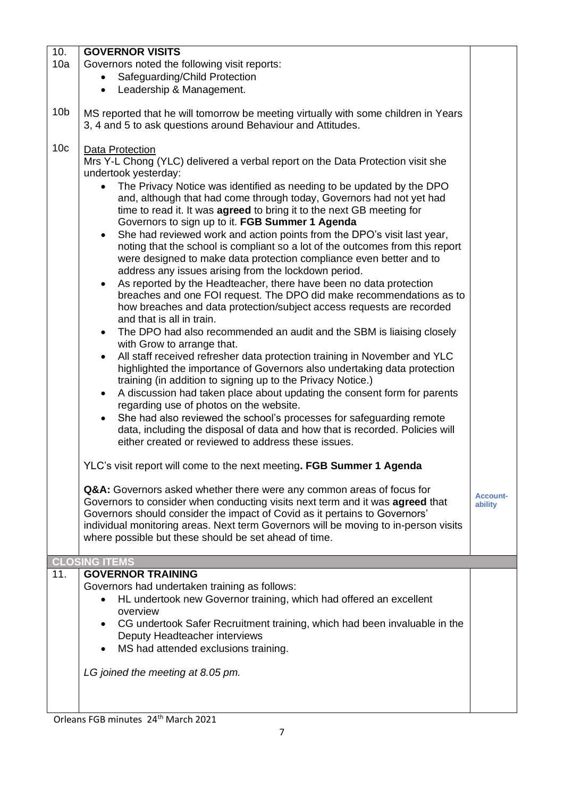| 10.             | <b>GOVERNOR VISITS</b>                                                                                                                                                                                                                                                                               |                            |  |
|-----------------|------------------------------------------------------------------------------------------------------------------------------------------------------------------------------------------------------------------------------------------------------------------------------------------------------|----------------------------|--|
| 10a             | Governors noted the following visit reports:                                                                                                                                                                                                                                                         |                            |  |
|                 | Safeguarding/Child Protection                                                                                                                                                                                                                                                                        |                            |  |
|                 | Leadership & Management.<br>$\bullet$                                                                                                                                                                                                                                                                |                            |  |
| 10 <sub>b</sub> | MS reported that he will tomorrow be meeting virtually with some children in Years<br>3, 4 and 5 to ask questions around Behaviour and Attitudes.                                                                                                                                                    |                            |  |
| 10 <sub>c</sub> | Data Protection                                                                                                                                                                                                                                                                                      |                            |  |
|                 | Mrs Y-L Chong (YLC) delivered a verbal report on the Data Protection visit she<br>undertook yesterday:                                                                                                                                                                                               |                            |  |
|                 | The Privacy Notice was identified as needing to be updated by the DPO<br>and, although that had come through today, Governors had not yet had<br>time to read it. It was agreed to bring it to the next GB meeting for<br>Governors to sign up to it. FGB Summer 1 Agenda                            |                            |  |
|                 | She had reviewed work and action points from the DPO's visit last year,<br>$\bullet$<br>noting that the school is compliant so a lot of the outcomes from this report<br>were designed to make data protection compliance even better and to<br>address any issues arising from the lockdown period. |                            |  |
|                 | As reported by the Headteacher, there have been no data protection<br>breaches and one FOI request. The DPO did make recommendations as to<br>how breaches and data protection/subject access requests are recorded<br>and that is all in train.                                                     |                            |  |
|                 | The DPO had also recommended an audit and the SBM is liaising closely<br>$\bullet$<br>with Grow to arrange that.                                                                                                                                                                                     |                            |  |
|                 | All staff received refresher data protection training in November and YLC<br>highlighted the importance of Governors also undertaking data protection<br>training (in addition to signing up to the Privacy Notice.)                                                                                 |                            |  |
|                 | A discussion had taken place about updating the consent form for parents<br>$\bullet$<br>regarding use of photos on the website.                                                                                                                                                                     |                            |  |
|                 | She had also reviewed the school's processes for safeguarding remote<br>$\bullet$<br>data, including the disposal of data and how that is recorded. Policies will<br>either created or reviewed to address these issues.                                                                             |                            |  |
|                 | YLC's visit report will come to the next meeting. FGB Summer 1 Agenda                                                                                                                                                                                                                                |                            |  |
|                 | Q&A: Governors asked whether there were any common areas of focus for<br>Governors to consider when conducting visits next term and it was agreed that                                                                                                                                               | <b>Account-</b><br>ability |  |
|                 | Governors should consider the impact of Covid as it pertains to Governors'<br>individual monitoring areas. Next term Governors will be moving to in-person visits<br>where possible but these should be set ahead of time.                                                                           |                            |  |
|                 |                                                                                                                                                                                                                                                                                                      |                            |  |
|                 | <b>CLOSING ITEMS</b>                                                                                                                                                                                                                                                                                 |                            |  |
| 11.             | <b>GOVERNOR TRAINING</b>                                                                                                                                                                                                                                                                             |                            |  |
|                 | Governors had undertaken training as follows:                                                                                                                                                                                                                                                        |                            |  |
|                 | HL undertook new Governor training, which had offered an excellent<br>overview                                                                                                                                                                                                                       |                            |  |
|                 | CG undertook Safer Recruitment training, which had been invaluable in the                                                                                                                                                                                                                            |                            |  |
|                 | Deputy Headteacher interviews                                                                                                                                                                                                                                                                        |                            |  |
|                 | MS had attended exclusions training.                                                                                                                                                                                                                                                                 |                            |  |
|                 | LG joined the meeting at 8.05 pm.                                                                                                                                                                                                                                                                    |                            |  |
|                 |                                                                                                                                                                                                                                                                                                      |                            |  |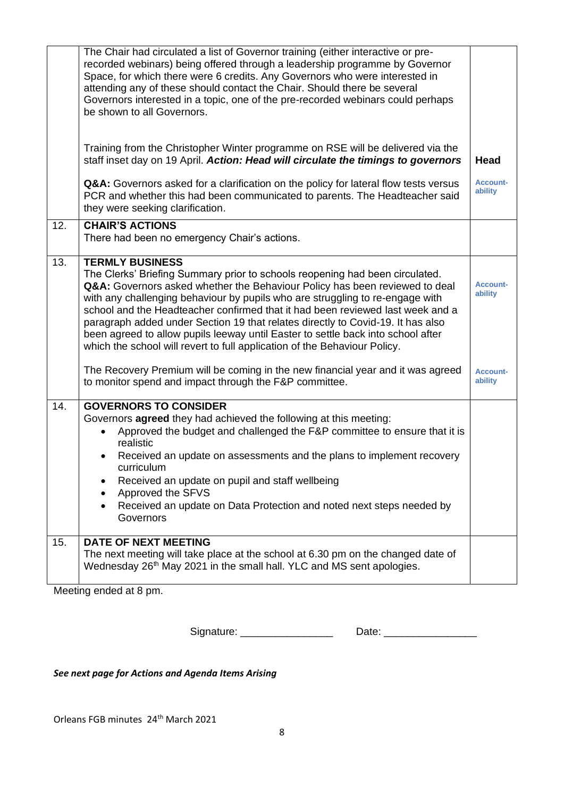|     | The Chair had circulated a list of Governor training (either interactive or pre-<br>recorded webinars) being offered through a leadership programme by Governor<br>Space, for which there were 6 credits. Any Governors who were interested in<br>attending any of these should contact the Chair. Should there be several<br>Governors interested in a topic, one of the pre-recorded webinars could perhaps<br>be shown to all Governors.                                                                                                                                                                                                                                                                                                               |                                                          |
|-----|-----------------------------------------------------------------------------------------------------------------------------------------------------------------------------------------------------------------------------------------------------------------------------------------------------------------------------------------------------------------------------------------------------------------------------------------------------------------------------------------------------------------------------------------------------------------------------------------------------------------------------------------------------------------------------------------------------------------------------------------------------------|----------------------------------------------------------|
|     | Training from the Christopher Winter programme on RSE will be delivered via the<br>staff inset day on 19 April. Action: Head will circulate the timings to governors                                                                                                                                                                                                                                                                                                                                                                                                                                                                                                                                                                                      | <b>Head</b>                                              |
|     | Q&A: Governors asked for a clarification on the policy for lateral flow tests versus<br>PCR and whether this had been communicated to parents. The Headteacher said<br>they were seeking clarification.                                                                                                                                                                                                                                                                                                                                                                                                                                                                                                                                                   | <b>Account-</b><br>ability                               |
| 12. | <b>CHAIR'S ACTIONS</b><br>There had been no emergency Chair's actions.                                                                                                                                                                                                                                                                                                                                                                                                                                                                                                                                                                                                                                                                                    |                                                          |
| 13. | <b>TERMLY BUSINESS</b><br>The Clerks' Briefing Summary prior to schools reopening had been circulated.<br>Q&A: Governors asked whether the Behaviour Policy has been reviewed to deal<br>with any challenging behaviour by pupils who are struggling to re-engage with<br>school and the Headteacher confirmed that it had been reviewed last week and a<br>paragraph added under Section 19 that relates directly to Covid-19. It has also<br>been agreed to allow pupils leeway until Easter to settle back into school after<br>which the school will revert to full application of the Behaviour Policy.<br>The Recovery Premium will be coming in the new financial year and it was agreed<br>to monitor spend and impact through the F&P committee. | <b>Account-</b><br>ability<br><b>Account-</b><br>ability |
| 14. | <b>GOVERNORS TO CONSIDER</b><br>Governors agreed they had achieved the following at this meeting:<br>Approved the budget and challenged the F&P committee to ensure that it is<br>realistic<br>Received an update on assessments and the plans to implement recovery<br>curriculum<br>Received an update on pupil and staff wellbeing<br>Approved the SFVS<br>Received an update on Data Protection and noted next steps needed by<br>Governors                                                                                                                                                                                                                                                                                                           |                                                          |
| 15. | <b>DATE OF NEXT MEETING</b><br>The next meeting will take place at the school at 6.30 pm on the changed date of<br>Wednesday 26 <sup>th</sup> May 2021 in the small hall. YLC and MS sent apologies.                                                                                                                                                                                                                                                                                                                                                                                                                                                                                                                                                      |                                                          |

Meeting ended at 8 pm.

Signature: \_\_\_\_\_\_\_\_\_\_\_\_\_\_\_\_ Date: \_\_\_\_\_\_\_\_\_\_\_\_\_\_\_\_

*See next page for Actions and Agenda Items Arising*

Orleans FGB minutes 24<sup>th</sup> March 2021